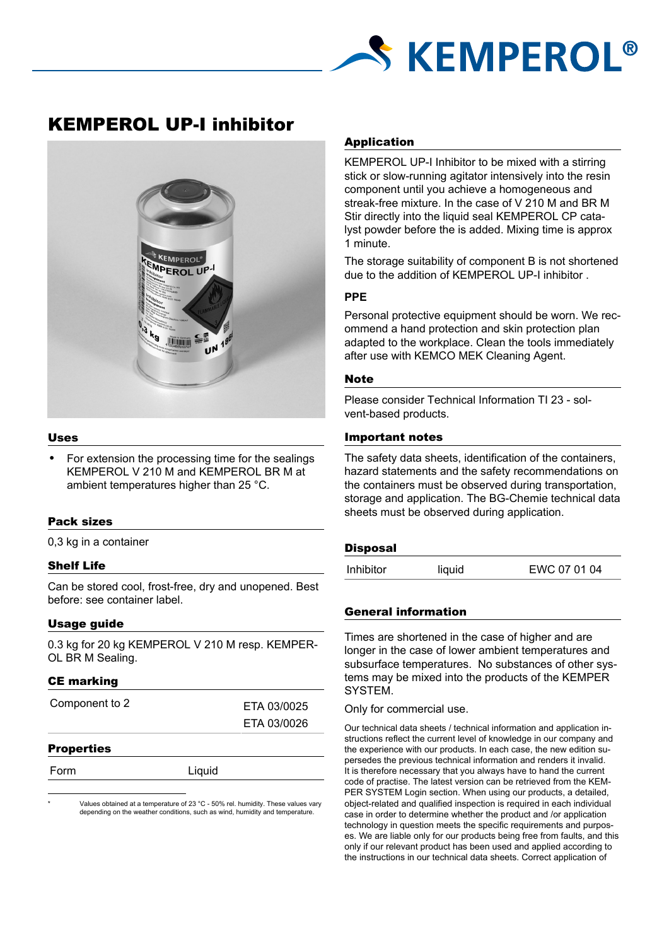

# KEMPEROL UP-I inhibitor



# Uses

For extension the processing time for the sealings KEMPEROL V 210 M and KEMPEROL BR M at ambient temperatures higher than 25 °C.

# Pack sizes

0,3 kg in a container

# Shelf Life

Can be stored cool, frost-free, dry and unopened. Best before: see container label.

# Usage guide

0.3 kg for 20 kg KEMPEROL V 210 M resp. KEMPER-OL BR M Sealing.

# CE marking

| Component to 2 | ETA 03/0025 |
|----------------|-------------|
|                | ETA 03/0026 |
|                |             |

#### **Properties**

| )rm |  |
|-----|--|

Liquid

Values obtained at a temperature of 23 °C - 50% rel. humidity. These values vary depending on the weather conditions, such as wind, humidity and temperature.

# Application

KEMPEROL UP-I Inhibitor to be mixed with a stirring stick or slow-running agitator intensively into the resin component until you achieve a homogeneous and streak-free mixture. In the case of V 210 M and BR M Stir directly into the liquid seal KEMPEROL CP catalyst powder before the is added. Mixing time is approx 1 minute.

The storage suitability of component B is not shortened due to the addition of KEMPEROL UP-I inhibitor .

#### **PPE**

Personal protective equipment should be worn. We recommend a hand protection and skin protection plan adapted to the workplace. Clean the tools immediately after use with KEMCO MEK Cleaning Agent.

#### **Note**

Please consider Technical Information TI 23 - solvent-based products.

# Important notes

The safety data sheets, identification of the containers, hazard statements and the safety recommendations on the containers must be observed during transportation, storage and application. The BG-Chemie technical data sheets must be observed during application.

# **Disposal**

| EWC 07 01 04<br><b>Inhibitor</b><br>liquid |  |
|--------------------------------------------|--|
|--------------------------------------------|--|

# General information

Times are shortened in the case of higher and are longer in the case of lower ambient temperatures and subsurface temperatures. No substances of other systems may be mixed into the products of the KEMPER SYSTEM.

Only for commercial use.

Our technical data sheets / technical information and application instructions reflect the current level of knowledge in our company and the experience with our products. In each case, the new edition supersedes the previous technical information and renders it invalid. It is therefore necessary that you always have to hand the current code of practise. The latest version can be retrieved from the KEM-PER SYSTEM Login section. When using our products, a detailed, object-related and qualified inspection is required in each individual case in order to determine whether the product and /or application technology in question meets the specific requirements and purposes. We are liable only for our products being free from faults, and this only if our relevant product has been used and applied according to the instructions in our technical data sheets. Correct application of